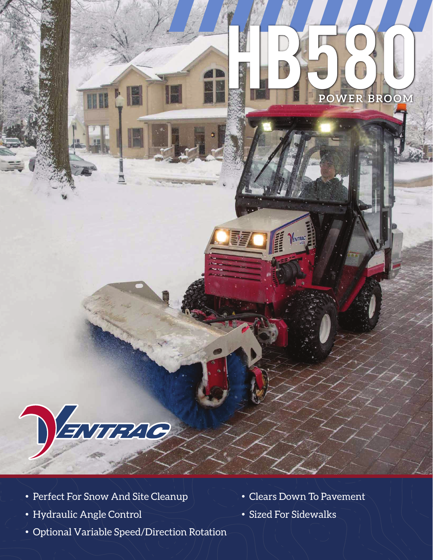

HI

- Perfect For Snow And Site Cleanup | Clears Down To Pavement
- Hydraulic Angle Control Sized For Sidewalks
- Optional Variable Speed/Direction Rotation
- 

HD580

**POWER BROOM**